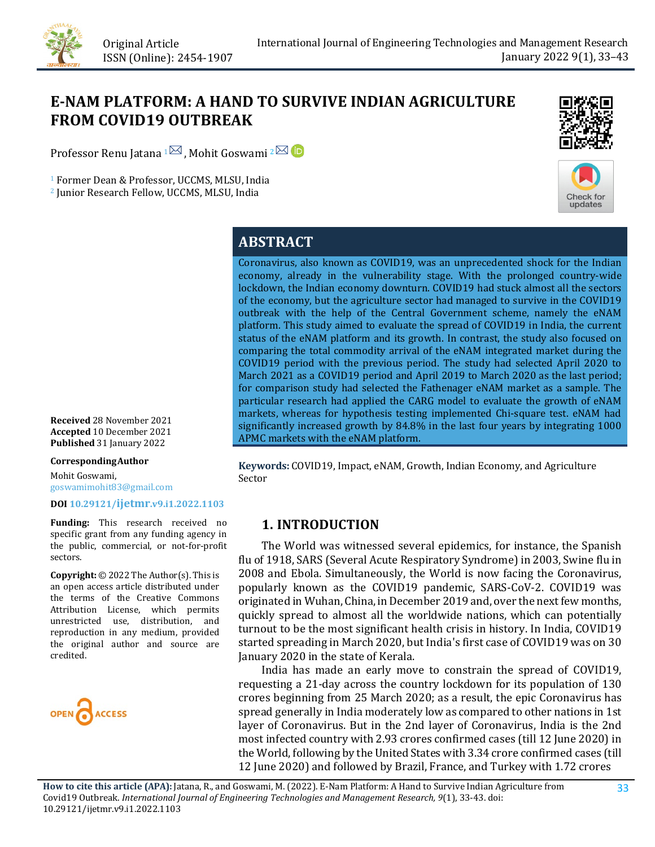# **E-NAM PLATFORM: A HAND TO SURVIVE INDIAN AGRICULTURE FROM COVID19 OUTBREAK**

Professor Renu Jatana  $1\overline{\boxtimes}$ , Mohit Goswami  $2\overline{\boxtimes}$ 

<sup>1</sup> Former Dean & Professor, UCCMS, MLSU, India

<sup>2</sup> Junior Research Fellow, UCCMS, MLSU, India





## **ABSTRACT**

Coronavirus, also known as COVID19, was an unprecedented shock for the Indian economy, already in the vulnerability stage. With the prolonged country-wide lockdown, the Indian economy downturn. COVID19 had stuck almost all the sectors of the economy, but the agriculture sector had managed to survive in the COVID19 outbreak with the help of the Central Government scheme, namely the eNAM platform. This study aimed to evaluate the spread of COVID19 in India, the current status of the eNAM platform and its growth. In contrast, the study also focused on comparing the total commodity arrival of the eNAM integrated market during the COVID19 period with the previous period. The study had selected April 2020 to March 2021 as a COVID19 period and April 2019 to March 2020 as the last period; for comparison study had selected the Fathenager eNAM market as a sample. The particular research had applied the CARG model to evaluate the growth of eNAM markets, whereas for hypothesis testing implemented Chi-square test. eNAM had significantly increased growth by 84.8% in the last four years by integrating 1000 APMC markets with the eNAM platform.

**Keywords:** COVID19, Impact, eNAM, Growth, Indian Economy, and Agriculture Sector

### **1. INTRODUCTION**

 The World was witnessed several epidemics, for instance, the Spanish flu of 1918, SARS (Several Acute Respiratory Syndrome) in 2003, Swine flu in 2008 and Ebola. Simultaneously, the World is now facing the Coronavirus, popularly known as the COVID19 pandemic, SARS-CoV-2. COVID19 was originated in Wuhan, China, in December 2019 and, over the next few months, quickly spread to almost all the worldwide nations, which can potentially turnout to be the most significant health crisis in history. In India, COVID19 started spreading in March 2020, but India's first case of COVID19 was on 30 January 2020 in the state of Kerala.

 India has made an early move to constrain the spread of COVID19, requesting a 21-day across the country lockdown for its population of 130 crores beginning from 25 March 2020; as a result, the epic Coronavirus has spread generally in India moderately low as compared to other nations in 1st layer of Coronavirus. But in the 2nd layer of Coronavirus, India is the 2nd most infected country with 2.93 crores confirmed cases (till 12 June 2020) in the World, following by the United States with 3.34 crore confirmed cases (till 12 June 2020) and followed by Brazil, France, and Turkey with 1.72 crores

**Received** 28 November 2021 **Accepted** 10 December 2021 **Published** 31 January 2022

**CorrespondingAuthor**

Mohit Goswami, goswamimohit83@gmail.com

**DOI [10.29121/ijetmr.v9.i1.2022.1103](https://dx.doi.org/10.29121/ijetmr.v9.i1.2022.1103)**

**Funding:** This research received no specific grant from any funding agency in the public, commercial, or not-for-profit sectors.

**Copyright:** © 2022 The Author(s). This is an open access article distributed under the terms of the Creative Commons Attribution License, which permits unrestricted use, distribution, and reproduction in any medium, provided the original author and source are credited.

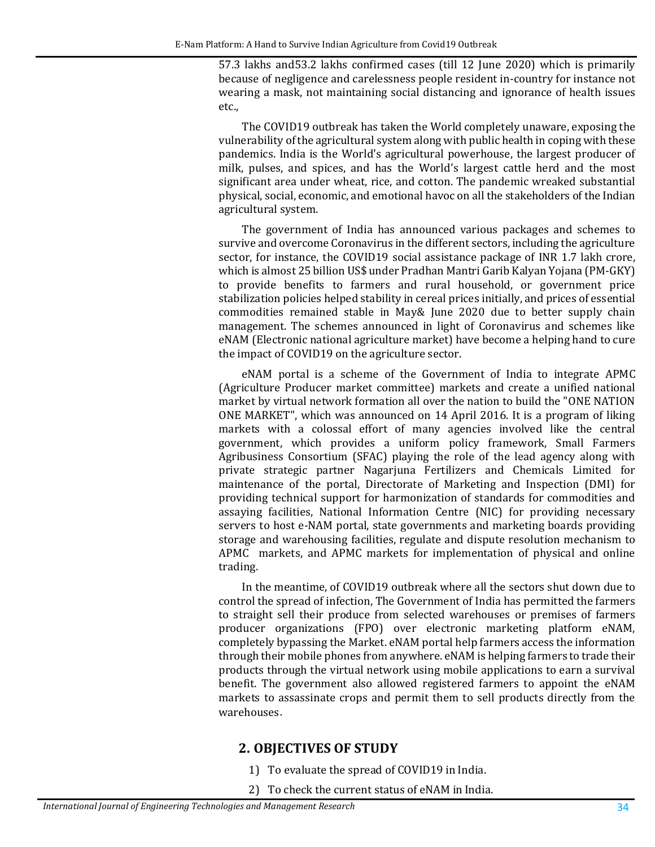57.3 lakhs and53.2 lakhs confirmed cases (till 12 June 2020) which is primarily because of negligence and carelessness people resident in-country for instance not wearing a mask, not maintaining social distancing and ignorance of health issues etc.,

The COVID19 outbreak has taken the World completely unaware, exposing the vulnerability of the agricultural system along with public health in coping with these pandemics. India is the World's agricultural powerhouse, the largest producer of milk, pulses, and spices, and has the World's largest cattle herd and the most significant area under wheat, rice, and cotton. The pandemic wreaked substantial physical, social, economic, and emotional havoc on all the stakeholders of the Indian agricultural system.

The government of India has announced various packages and schemes to survive and overcome Coronavirus in the different sectors, including the agriculture sector, for instance, the COVID19 social assistance package of INR 1.7 lakh crore, which is almost 25 billion US\$ under Pradhan Mantri Garib Kalyan Yojana (PM-GKY) to provide benefits to farmers and rural household, or government price stabilization policies helped stability in cereal prices initially, and prices of essential commodities remained stable in May& June 2020 due to better supply chain management. The schemes announced in light of Coronavirus and schemes like eNAM (Electronic national agriculture market) have become a helping hand to cure the impact of COVID19 on the agriculture sector.

eNAM portal is a scheme of the Government of India to integrate APMC (Agriculture Producer market committee) markets and create a unified national market by virtual network formation all over the nation to build the "ONE NATION ONE MARKET", which was announced on 14 April 2016. It is a program of liking markets with a colossal effort of many agencies involved like the central government, which provides a uniform policy framework, Small Farmers Agribusiness Consortium (SFAC) playing the role of the lead agency along with private strategic partner Nagarjuna Fertilizers and Chemicals Limited for maintenance of the portal, Directorate of Marketing and Inspection (DMI) for providing technical support for harmonization of standards for commodities and assaying facilities, National Information Centre (NIC) for providing necessary servers to host e-NAM portal, state governments and marketing boards providing storage and warehousing facilities, regulate and dispute resolution mechanism to APMC markets, and APMC markets for implementation of physical and online trading.

In the meantime, of COVID19 outbreak where all the sectors shut down due to control the spread of infection, The Government of India has permitted the farmers to straight sell their produce from selected warehouses or premises of farmers producer organizations (FPO) over electronic marketing platform eNAM, completely bypassing the Market. eNAM portal help farmers access the information through their mobile phones from anywhere. eNAM is helping farmers to trade their products through the virtual network using mobile applications to earn a survival benefit. The government also allowed registered farmers to appoint the eNAM markets to assassinate crops and permit them to sell products directly from the warehouses.

#### **2. OBJECTIVES OF STUDY**

- 1) To evaluate the spread of COVID19 in India.
- 2) To check the current status of eNAM in India.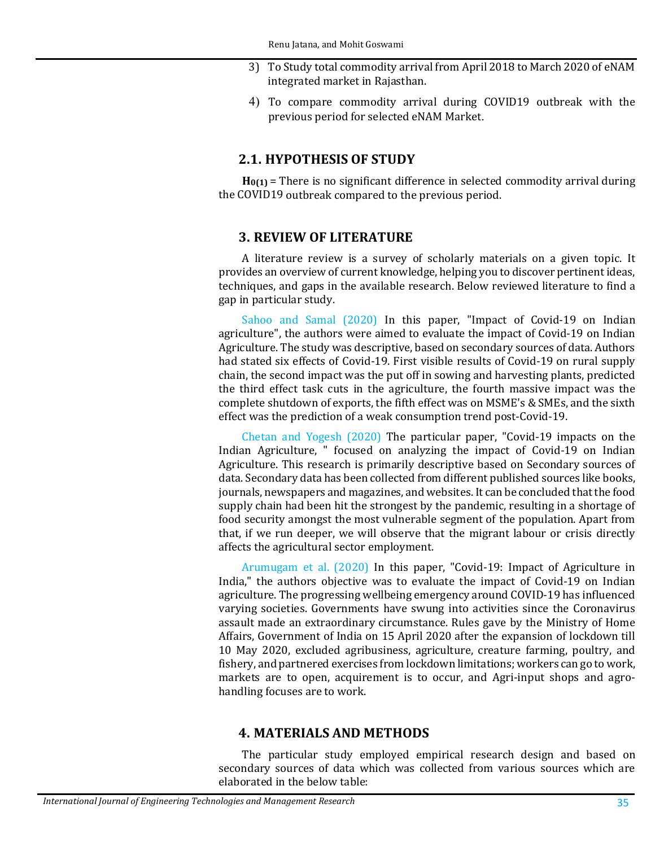- 3) To Study total commodity arrival from April 2018 to March 2020 of eNAM integrated market in Rajasthan.
- 4) To compare commodity arrival during COVID19 outbreak with the previous period for selected eNAM Market.

#### **2.1. HYPOTHESIS OF STUDY**

**H0(1)** = There is no significant difference in selected commodity arrival during the COVID19 outbreak compared to the previous period.

#### **3. REVIEW OF LITERATURE**

A literature review is a survey of scholarly materials on a given topic. It provides an overview of current knowledge, helping you to discover pertinent ideas, techniques, and gaps in the available research. Below reviewed literature to find a gap in particular study.

[Sahoo and Samal \(2020\)](#page-10-0) In this paper, "Impact of Covid-19 on Indian agriculture", the authors were aimed to evaluate the impact of Covid-19 on Indian Agriculture. The study was descriptive, based on secondary sources of data. Authors had stated six effects of Covid-19. First visible results of Covid-19 on rural supply chain, the second impact was the put off in sowing and harvesting plants, predicted the third effect task cuts in the agriculture, the fourth massive impact was the complete shutdown of exports, the fifth effect was on MSME's & SMEs, and the sixth effect was the prediction of a weak consumption trend post-Covid-19.

[Chetan and Yogesh \(2020\)](#page-9-0) The particular paper, "Covid-19 impacts on the Indian Agriculture, " focused on analyzing the impact of Covid-19 on Indian Agriculture. This research is primarily descriptive based on Secondary sources of data. Secondary data has been collected from different published sources like books, journals, newspapers and magazines, and websites. It can be concluded that the food supply chain had been hit the strongest by the pandemic, resulting in a shortage of food security amongst the most vulnerable segment of the population. Apart from that, if we run deeper, we will observe that the migrant labour or crisis directly affects the agricultural sector employment.

[Arumugam et al. \(2020\)](#page-9-1) In this paper, "Covid-19: Impact of Agriculture in India," the authors objective was to evaluate the impact of Covid-19 on Indian agriculture. The progressing wellbeing emergency around COVID-19 has influenced varying societies. Governments have swung into activities since the Coronavirus assault made an extraordinary circumstance. Rules gave by the Ministry of Home Affairs, Government of India on 15 April 2020 after the expansion of lockdown till 10 May 2020, excluded agribusiness, agriculture, creature farming, poultry, and fishery, and partnered exercises from lockdown limitations; workers can go to work, markets are to open, acquirement is to occur, and Agri-input shops and agrohandling focuses are to work.

#### **4. MATERIALS AND METHODS**

The particular study employed empirical research design and based on secondary sources of data which was collected from various sources which are elaborated in the below table: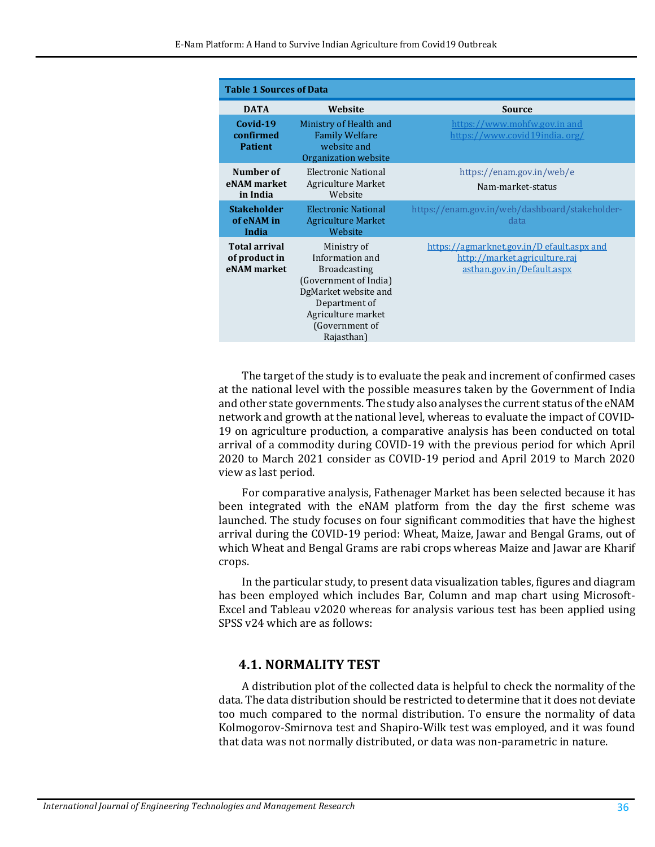| <b>Table 1 Sources of Data</b>                       |                                                                                                                                                                               |                                                                                                           |  |  |  |  |  |
|------------------------------------------------------|-------------------------------------------------------------------------------------------------------------------------------------------------------------------------------|-----------------------------------------------------------------------------------------------------------|--|--|--|--|--|
| <b>DATA</b>                                          | Website                                                                                                                                                                       | Source                                                                                                    |  |  |  |  |  |
| Covid-19<br>confirmed<br><b>Patient</b>              | Ministry of Health and<br><b>Family Welfare</b><br>website and<br>Organization website                                                                                        | https://www.mohfw.gov.in and<br>https://www.covid19india.org/                                             |  |  |  |  |  |
| Number of<br>eNAM market<br>in India                 | Electronic National<br><b>Agriculture Market</b><br>Website                                                                                                                   | https://enam.gov.in/web/e<br>Nam-market-status                                                            |  |  |  |  |  |
| <b>Stakeholder</b><br>of eNAM in<br>India            | <b>Electronic National</b><br><b>Agriculture Market</b><br>Website                                                                                                            | https://enam.gov.in/web/dashboard/stakeholder-<br>data                                                    |  |  |  |  |  |
| <b>Total arrival</b><br>of product in<br>eNAM market | Ministry of<br>Information and<br><b>Broadcasting</b><br>(Government of India)<br>DgMarket website and<br>Department of<br>Agriculture market<br>(Government of<br>Rajasthan) | https://agmarknet.gov.in/D efault.aspx and<br>http://market.agriculture.raj<br>asthan.gov.in/Default.aspx |  |  |  |  |  |

The target of the study is to evaluate the peak and increment of confirmed cases at the national level with the possible measures taken by the Government of India and other state governments. The study also analyses the current status of the eNAM network and growth at the national level, whereas to evaluate the impact of COVID-19 on agriculture production, a comparative analysis has been conducted on total arrival of a commodity during COVID-19 with the previous period for which April 2020 to March 2021 consider as COVID-19 period and April 2019 to March 2020 view as last period.

For comparative analysis, Fathenager Market has been selected because it has been integrated with the eNAM platform from the day the first scheme was launched. The study focuses on four significant commodities that have the highest arrival during the COVID-19 period: Wheat, Maize, Jawar and Bengal Grams, out of which Wheat and Bengal Grams are rabi crops whereas Maize and Jawar are Kharif crops.

In the particular study, to present data visualization tables, figures and diagram has been employed which includes Bar, Column and map chart using Microsoft-Excel and Tableau v2020 whereas for analysis various test has been applied using SPSS v24 which are as follows:

#### **4.1. NORMALITY TEST**

A distribution plot of the collected data is helpful to check the normality of the data. The data distribution should be restricted to determine that it does not deviate too much compared to the normal distribution. To ensure the normality of data Kolmogorov-Smirnova test and Shapiro-Wilk test was employed, and it was found that data was not normally distributed, or data was non-parametric in nature.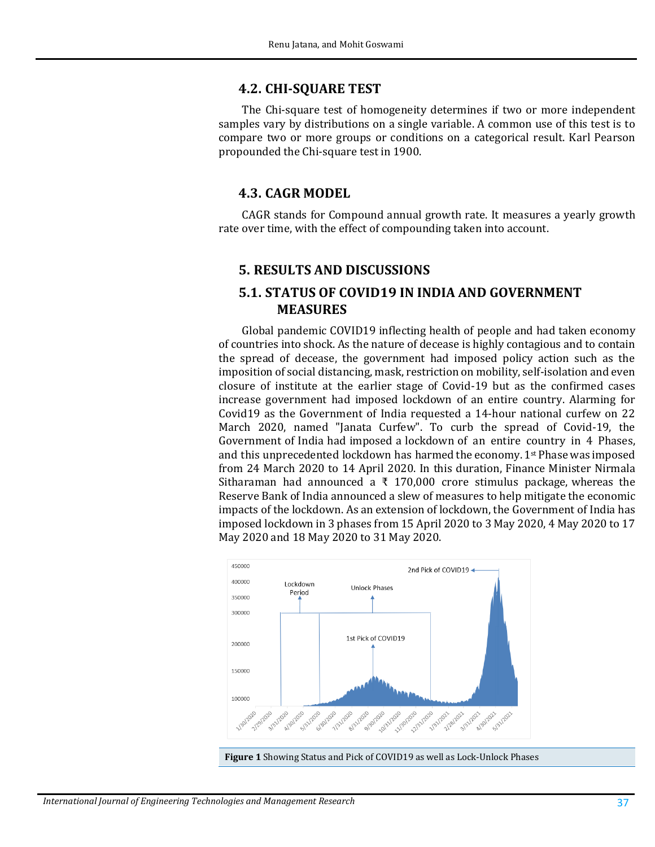#### **4.2. CHI-SQUARE TEST**

The Chi-square test of homogeneity determines if two or more independent samples vary by distributions on a single variable. A common use of this test is to compare two or more groups or conditions on a categorical result. Karl Pearson propounded the Chi-square test in 1900.

#### **4.3. CAGR MODEL**

CAGR stands for Compound annual growth rate. It measures a yearly growth rate over time, with the effect of compounding taken into account.

#### **5. RESULTS AND DISCUSSIONS**

#### **5.1. STATUS OF COVID19 IN INDIA AND GOVERNMENT MEASURES**

Global pandemic COVID19 inflecting health of people and had taken economy of countries into shock. As the nature of decease is highly contagious and to contain the spread of decease, the government had imposed policy action such as the imposition of social distancing, mask, restriction on mobility, self-isolation and even closure of institute at the earlier stage of Covid-19 but as the confirmed cases increase government had imposed lockdown of an entire country. Alarming for Covid19 as the Government of India requested a 14-hour national curfew on 22 March 2020, named "Janata Curfew". To curb the spread of Covid-19, the Government of India had imposed a lockdown of an entire country in 4 Phases, and this unprecedented lockdown has harmed the economy. 1st Phase was imposed from 24 March 2020 to 14 April 2020. In this duration, Finance Minister Nirmala Sitharaman had announced a  $\bar{x}$  170,000 crore stimulus package, whereas the Reserve Bank of India announced a slew of measures to help mitigate the economic impacts of the lockdown. As an extension of lockdown, the Government of India has imposed lockdown in 3 phases from 15 April 2020 to 3 May 2020, 4 May 2020 to 17 May 2020 and 18 May 2020 to 31 May 2020.



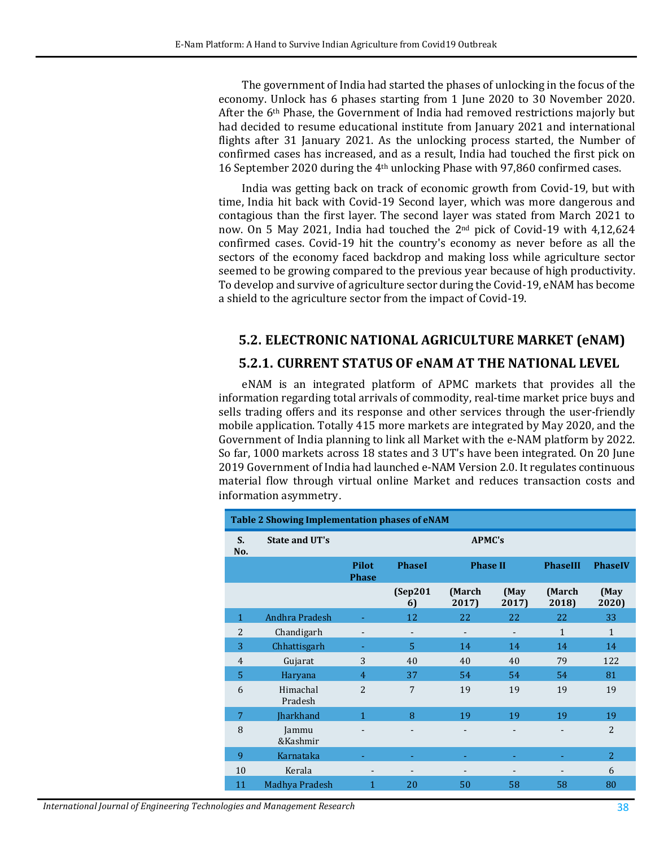The government of India had started the phases of unlocking in the focus of the economy. Unlock has 6 phases starting from 1 June 2020 to 30 November 2020. After the 6th Phase, the Government of India had removed restrictions majorly but had decided to resume educational institute from January 2021 and international flights after 31 January 2021. As the unlocking process started, the Number of confirmed cases has increased, and as a result, India had touched the first pick on 16 September 2020 during the 4th unlocking Phase with 97,860 confirmed cases.

India was getting back on track of economic growth from Covid-19, but with time, India hit back with Covid-19 Second layer, which was more dangerous and contagious than the first layer. The second layer was stated from March 2021 to now. On 5 May 2021, India had touched the 2nd pick of Covid-19 with 4,12,624 confirmed cases. Covid-19 hit the country's economy as never before as all the sectors of the economy faced backdrop and making loss while agriculture sector seemed to be growing compared to the previous year because of high productivity. To develop and survive of agriculture sector during the Covid-19, eNAM has become a shield to the agriculture sector from the impact of Covid-19.

## **5.2. ELECTRONIC NATIONAL AGRICULTURE MARKET (eNAM)**

#### **5.2.1. CURRENT STATUS OF eNAM AT THE NATIONAL LEVEL**

eNAM is an integrated platform of APMC markets that provides all the information regarding total arrivals of commodity, real-time market price buys and sells trading offers and its response and other services through the user-friendly mobile application. Totally 415 more markets are integrated by May 2020, and the Government of India planning to link all Market with the e-NAM platform by 2022. So far, 1000 markets across 18 states and 3 UT's have been integrated. On 20 June 2019 Government of India had launched e-NAM Version 2.0. It regulates continuous material flow through virtual online Market and reduces transaction costs and information asymmetry.

| Table 2 Showing Implementation phases of eNAM |                     |                              |                |                 |                          |                          |                |  |  |
|-----------------------------------------------|---------------------|------------------------------|----------------|-----------------|--------------------------|--------------------------|----------------|--|--|
| S.<br>No.                                     | State and UT's      |                              | <b>APMC's</b>  |                 |                          |                          |                |  |  |
|                                               |                     | <b>Pilot</b><br><b>Phase</b> | <b>PhaseI</b>  | <b>Phase II</b> |                          | <b>PhaseIII</b>          | <b>PhaseIV</b> |  |  |
|                                               |                     |                              | (Sep201)<br>6) | (March<br>2017) | (May<br>2017)            | (March<br>2018)          | (May<br>2020)  |  |  |
| $\mathbf{1}$                                  | Andhra Pradesh      |                              | 12             | 22              | 22                       | 22                       | 33             |  |  |
| $\overline{c}$                                | Chandigarh          | $\overline{\phantom{a}}$     |                |                 |                          | $\mathbf{1}$             | 1              |  |  |
| 3                                             | Chhattisgarh        | ٠                            | 5              | 14              | 14                       | 14                       | 14             |  |  |
| $\overline{4}$                                | Gujarat             | 3                            | 40             | 40              | 40                       | 79                       | 122            |  |  |
| 5                                             | Haryana             | 4                            | 37             | 54              | 54                       | 54                       | 81             |  |  |
| 6                                             | Himachal<br>Pradesh | $\overline{c}$               | 7              | 19              | 19                       | 19                       | 19             |  |  |
| 7                                             | <b>Iharkhand</b>    | 1                            | 8              | 19              | 19                       | 19                       | 19             |  |  |
| 8                                             | Jammu<br>&Kashmir   | $\overline{\phantom{0}}$     | -              |                 | $\overline{\phantom{m}}$ | $\overline{\phantom{a}}$ | $\overline{2}$ |  |  |
| 9                                             | Karnataka           |                              |                |                 |                          |                          | $\overline{2}$ |  |  |
| 10                                            | Kerala              |                              |                |                 |                          |                          | 6              |  |  |
| 11                                            | Madhya Pradesh      | $\mathbf{1}$                 | 20             | 50              | 58                       | 58                       | 80             |  |  |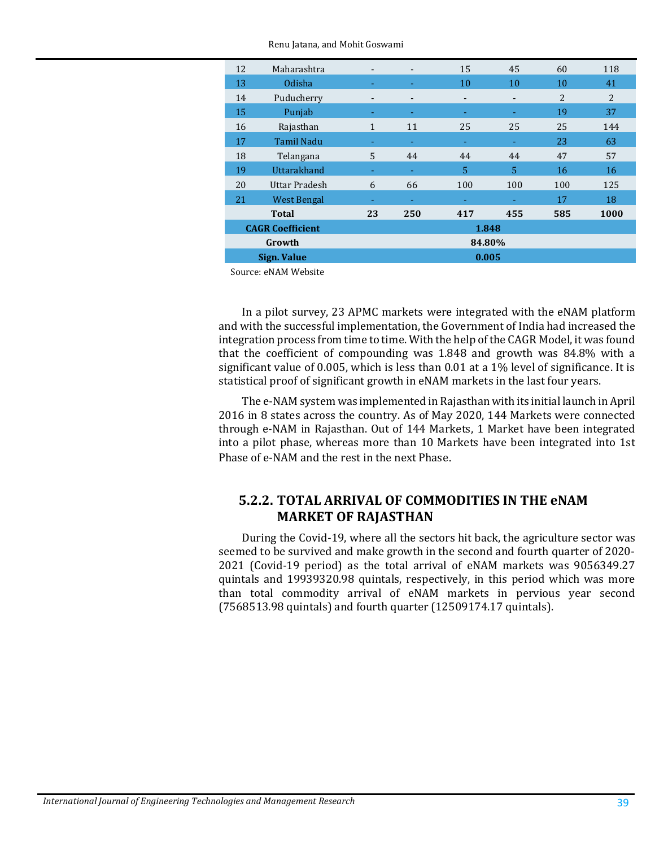| 12                      | Maharashtra                               | $\overline{\phantom{a}}$ | $\overline{\phantom{a}}$ | 15  | 45                       | 60  | 118            |  |  |
|-------------------------|-------------------------------------------|--------------------------|--------------------------|-----|--------------------------|-----|----------------|--|--|
| 13                      | Odisha                                    | ٠                        |                          | 10  | 10                       | 10  | 41             |  |  |
| 14                      | Puducherry                                | -                        | $\overline{\phantom{a}}$ | -   | $\overline{\phantom{a}}$ | 2   | $\overline{2}$ |  |  |
| 15                      | Punjab                                    |                          |                          |     |                          | 19  | 37             |  |  |
| 16                      | Rajasthan                                 | 1                        | 11                       | 25  | 25                       | 25  | 144            |  |  |
| 17                      | <b>Tamil Nadu</b>                         |                          | ٠                        |     | ٠                        | 23  | 63             |  |  |
| 18                      | Telangana                                 | 5                        | 44                       | 44  | 44                       | 47  | 57             |  |  |
| 19                      | Uttarakhand                               | ٠                        | ٠                        | 5   | 5                        | 16  | 16             |  |  |
| 20                      | Uttar Pradesh<br>21<br><b>West Bengal</b> |                          | 66                       | 100 | 100                      | 100 | 125            |  |  |
|                         |                                           |                          | ۰                        |     |                          | 17  | 18             |  |  |
| Total                   |                                           | 23                       | 250                      | 417 | 455                      | 585 | 1000           |  |  |
| <b>CAGR Coefficient</b> |                                           |                          | 1.848                    |     |                          |     |                |  |  |
| Growth                  |                                           |                          | 84.80%                   |     |                          |     |                |  |  |
| Sign. Value             |                                           |                          | 0.005                    |     |                          |     |                |  |  |

Source: eNAM Website

In a pilot survey, 23 APMC markets were integrated with the eNAM platform and with the successful implementation, the Government of India had increased the integration process from time to time. With the help of the CAGR Model, it was found that the coefficient of compounding was 1.848 and growth was 84.8% with a significant value of 0.005, which is less than 0.01 at a 1% level of significance. It is statistical proof of significant growth in eNAM markets in the last four years.

The e-NAM system was implemented in Rajasthan with its initial launch in April 2016 in 8 states across the country. As of May 2020, 144 Markets were connected through e-NAM in Rajasthan. Out of 144 Markets, 1 Market have been integrated into a pilot phase, whereas more than 10 Markets have been integrated into 1st Phase of e-NAM and the rest in the next Phase.

#### **5.2.2. TOTAL ARRIVAL OF COMMODITIES IN THE eNAM MARKET OF RAJASTHAN**

During the Covid-19, where all the sectors hit back, the agriculture sector was seemed to be survived and make growth in the second and fourth quarter of 2020- 2021 (Covid-19 period) as the total arrival of eNAM markets was 9056349.27 quintals and 19939320.98 quintals, respectively, in this period which was more than total commodity arrival of eNAM markets in pervious year second (7568513.98 quintals) and fourth quarter (12509174.17 quintals).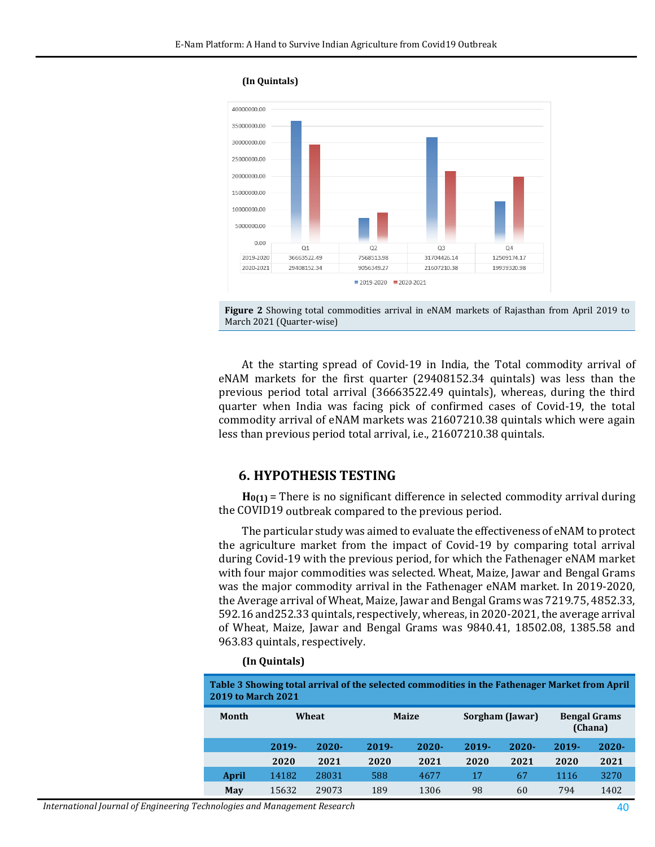**(In Quintals)**





At the starting spread of Covid-19 in India, the Total commodity arrival of eNAM markets for the first quarter (29408152.34 quintals) was less than the previous period total arrival (36663522.49 quintals), whereas, during the third quarter when India was facing pick of confirmed cases of Covid-19, the total commodity arrival of eNAM markets was 21607210.38 quintals which were again less than previous period total arrival, i.e., 21607210.38 quintals.

#### **6. HYPOTHESIS TESTING**

**H0(1)** = There is no significant difference in selected commodity arrival during the COVID19 outbreak compared to the previous period.

The particular study was aimed to evaluate the effectiveness of eNAM to protect the agriculture market from the impact of Covid-19 by comparing total arrival during Covid-19 with the previous period, for which the Fathenager eNAM market with four major commodities was selected. Wheat, Maize, Jawar and Bengal Grams was the major commodity arrival in the Fathenager eNAM market. In 2019-2020, the Average arrival of Wheat, Maize, Jawar and Bengal Grams was 7219.75, 4852.33, 592.16 and252.33 quintals, respectively, whereas, in 2020-2021, the average arrival of Wheat, Maize, Jawar and Bengal Grams was 9840.41, 18502.08, 1385.58 and 963.83 quintals, respectively.

#### **(In Quintals)**

| Table 3 Showing total arrival of the selected commodities in the Fathenager Market from April<br><b>2019 to March 2021</b> |          |          |              |          |                 |          |                                |          |  |
|----------------------------------------------------------------------------------------------------------------------------|----------|----------|--------------|----------|-----------------|----------|--------------------------------|----------|--|
| Month                                                                                                                      | Wheat    |          | <b>Maize</b> |          | Sorgham (Jawar) |          | <b>Bengal Grams</b><br>(Chana) |          |  |
|                                                                                                                            | $2019 -$ | $2020 -$ | $2019 -$     | $2020 -$ | $2019 -$        | $2020 -$ | $2019 -$                       | $2020 -$ |  |
|                                                                                                                            | 2020     | 2021     | 2020         | 2021     | 2020            | 2021     | 2020                           | 2021     |  |
| April                                                                                                                      | 14182    | 28031    | 588          | 4677     | 17              | 67       | 1116                           | 3270     |  |
| May                                                                                                                        | 15632    | 29073    | 189          | 1306     | 98              | 60       | 794                            | 1402     |  |

*International Journal of Engineering Technologies and Management Research* 40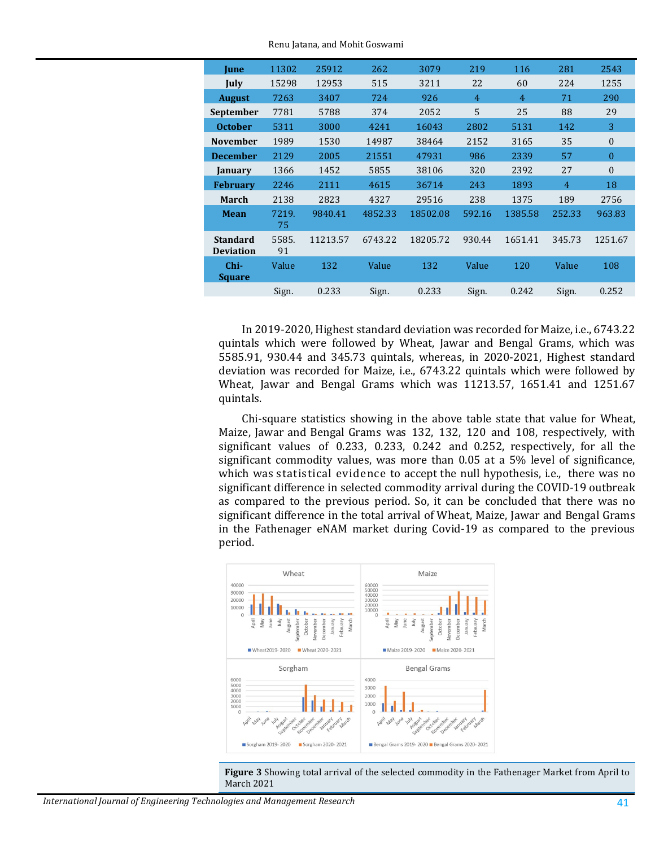| <b>June</b>                         | 11302       | 25912    | 262     | 3079     | 219    | 116     | 281    | 2543         |
|-------------------------------------|-------------|----------|---------|----------|--------|---------|--------|--------------|
| July                                | 15298       | 12953    | 515     | 3211     | 22     | 60      | 224    | 1255         |
| <b>August</b>                       | 7263        | 3407     | 724     | 926      | 4      | 4       | 71     | 290          |
| September                           | 7781        | 5788     | 374     | 2052     | 5      | 25      | 88     | 29           |
| <b>October</b>                      | 5311        | 3000     | 4241    | 16043    | 2802   | 5131    | 142    | 3            |
| <b>November</b>                     | 1989        | 1530     | 14987   | 38464    | 2152   | 3165    | 35     | $\mathbf{0}$ |
| <b>December</b>                     | 2129        | 2005     | 21551   | 47931    | 986    | 2339    | 57     | $\theta$     |
| January                             | 1366        | 1452     | 5855    | 38106    | 320    | 2392    | 27     | $\theta$     |
| <b>February</b>                     | 2246        | 2111     | 4615    | 36714    | 243    | 1893    | 4      | 18           |
| March                               | 2138        | 2823     | 4327    | 29516    | 238    | 1375    | 189    | 2756         |
| <b>Mean</b>                         | 7219.<br>75 | 9840.41  | 4852.33 | 18502.08 | 592.16 | 1385.58 | 252.33 | 963.83       |
| <b>Standard</b><br><b>Deviation</b> | 5585.<br>91 | 11213.57 | 6743.22 | 18205.72 | 930.44 | 1651.41 | 345.73 | 1251.67      |
| Chi-<br><b>Square</b>               | Value       | 132      | Value   | 132      | Value  | 120     | Value  | 108          |
|                                     | Sign.       | 0.233    | Sign.   | 0.233    | Sign.  | 0.242   | Sign.  | 0.252        |
|                                     |             |          |         |          |        |         |        |              |

Renu Jatana, and Mohit Goswami

In 2019-2020, Highest standard deviation was recorded for Maize, i.e., 6743.22 quintals which were followed by Wheat, Jawar and Bengal Grams, which was 5585.91, 930.44 and 345.73 quintals, whereas, in 2020-2021, Highest standard deviation was recorded for Maize, i.e., 6743.22 quintals which were followed by Wheat, Jawar and Bengal Grams which was 11213.57, 1651.41 and 1251.67 quintals.

Chi-square statistics showing in the above table state that value for Wheat, Maize, Jawar and Bengal Grams was 132, 132, 120 and 108, respectively, with significant values of 0.233, 0.233, 0.242 and 0.252, respectively, for all the significant commodity values, was more than 0.05 at a 5% level of significance, which was statistical evidence to accept the null hypothesis, i.e., there was no significant difference in selected commodity arrival during the COVID-19 outbreak as compared to the previous period. So, it can be concluded that there was no significant difference in the total arrival of Wheat, Maize, Jawar and Bengal Grams in the Fathenager eNAM market during Covid-19 as compared to the previous period.



**Figure 3** Showing total arrival of the selected commodity in the Fathenager Market from April to March 2021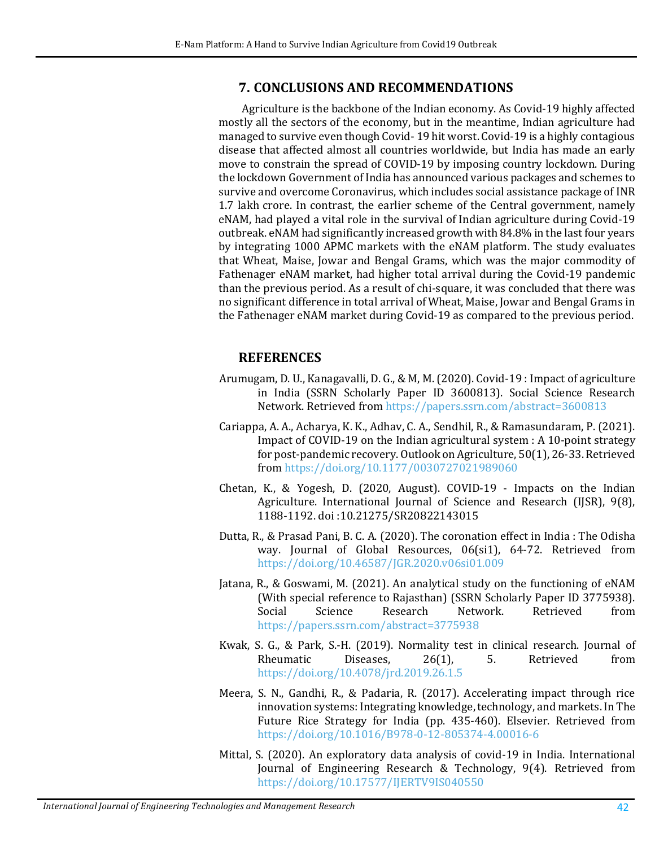#### **7. CONCLUSIONS AND RECOMMENDATIONS**

Agriculture is the backbone of the Indian economy. As Covid-19 highly affected mostly all the sectors of the economy, but in the meantime, Indian agriculture had managed to survive even though Covid- 19 hit worst. Covid-19 is a highly contagious disease that affected almost all countries worldwide, but India has made an early move to constrain the spread of COVID-19 by imposing country lockdown. During the lockdown Government of India has announced various packages and schemes to survive and overcome Coronavirus, which includes social assistance package of INR 1.7 lakh crore. In contrast, the earlier scheme of the Central government, namely eNAM, had played a vital role in the survival of Indian agriculture during Covid-19 outbreak. eNAM had significantly increased growth with 84.8% in the last four years by integrating 1000 APMC markets with the eNAM platform. The study evaluates that Wheat, Maise, Jowar and Bengal Grams, which was the major commodity of Fathenager eNAM market, had higher total arrival during the Covid-19 pandemic than the previous period. As a result of chi-square, it was concluded that there was no significant difference in total arrival of Wheat, Maise, Jowar and Bengal Grams in the Fathenager eNAM market during Covid-19 as compared to the previous period.

#### **REFERENCES**

- <span id="page-9-1"></span>Arumugam, D. U., Kanagavalli, D. G., & M, M. (2020). Covid-19 : Impact of agriculture in India (SSRN Scholarly Paper ID 3600813). Social Science Research Network. Retrieved from <https://papers.ssrn.com/abstract=3600813>
- Cariappa, A. A., Acharya, K. K., Adhav, C. A., Sendhil, R., & Ramasundaram, P. (2021). Impact of COVID-19 on the Indian agricultural system : A 10-point strategy for post-pandemic recovery. Outlook on Agriculture, 50(1), 26-33. Retrieved from <https://doi.org/10.1177/0030727021989060>
- <span id="page-9-0"></span>Chetan, K., & Yogesh, D. (2020, August). COVID-19 - Impacts on the Indian Agriculture. International Journal of Science and Research (IJSR), 9(8), 1188-1192. doi :10.21275/SR20822143015
- Dutta, R., & Prasad Pani, B. C. A. (2020). The coronation effect in India : The Odisha way. Journal of Global Resources, 06(si1), 64-72. Retrieved from <https://doi.org/10.46587/JGR.2020.v06si01.009>
- Jatana, R., & Goswami, M. (2021). An analytical study on the functioning of eNAM (With special reference to Rajasthan) (SSRN Scholarly Paper ID 3775938).<br>Social Science Research Network. Retrieved from Social Science Research Network. Retrieved from <https://papers.ssrn.com/abstract=3775938>
- Kwak, S. G., & Park, S.-H. (2019). Normality test in clinical research. Journal of Rheumatic Diseases, 26(1), 5. Retrieved from <https://doi.org/10.4078/jrd.2019.26.1.5>
- Meera, S. N., Gandhi, R., & Padaria, R. (2017). Accelerating impact through rice innovation systems: Integrating knowledge, technology, and markets. In The Future Rice Strategy for India (pp. 435-460). Elsevier. Retrieved from <https://doi.org/10.1016/B978-0-12-805374-4.00016-6>
- Mittal, S. (2020). An exploratory data analysis of covid-19 in India. International Journal of Engineering Research & Technology, 9(4). Retrieved from <https://doi.org/10.17577/IJERTV9IS040550>